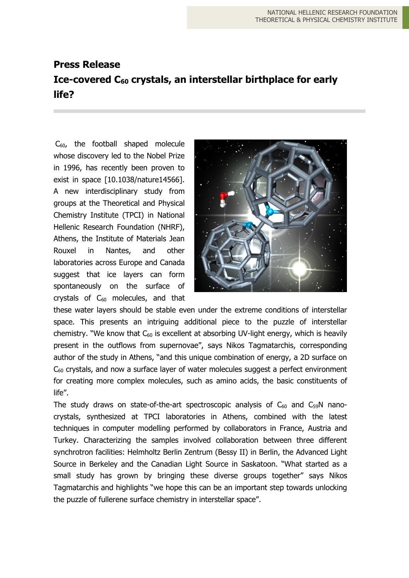## **Press Release Ice-covered C<sup>60</sup> crystals, an interstellar birthplace for early life?**

 $C_{60}$ , the football shaped molecule whose discovery led to the Nobel Prize in 1996, has recently been proven to exist in space [10.1038/nature14566]. A new interdisciplinary study from groups at the Theoretical and Physical Chemistry Institute (TPCI) in National Hellenic Research Foundation (NHRF), Athens, the Institute of Materials Jean Rouxel in Nantes, and other laboratories across Europe and Canada suggest that ice layers can form spontaneously on the surface of crystals of  $C_{60}$  molecules, and that



these water layers should be stable even under the extreme conditions of interstellar space. This presents an intriguing additional piece to the puzzle of interstellar chemistry. "We know that  $C_{60}$  is excellent at absorbing UV-light energy, which is heavily present in the outflows from supernovae", says Nikos Tagmatarchis, corresponding author of the study in Athens, "and this unique combination of energy, a 2D surface on  $C_{60}$  crystals, and now a surface layer of water molecules suggest a perfect environment for creating more complex molecules, such as amino acids, the basic constituents of life".

The study draws on state-of-the-art spectroscopic analysis of  $C_{60}$  and  $C_{59}N$  nanocrystals, synthesized at TPCI laboratories in Athens, combined with the latest techniques in computer modelling performed by collaborators in France, Austria and Turkey. Characterizing the samples involved collaboration between three different synchrotron facilities: Helmholtz Berlin Zentrum (Bessy II) in Berlin, the Advanced Light Source in Berkeley and the Canadian Light Source in Saskatoon. "What started as a small study has grown by bringing these diverse groups together" says Nikos Tagmatarchis and highlights "we hope this can be an important step towards unlocking the puzzle of fullerene surface chemistry in interstellar space".